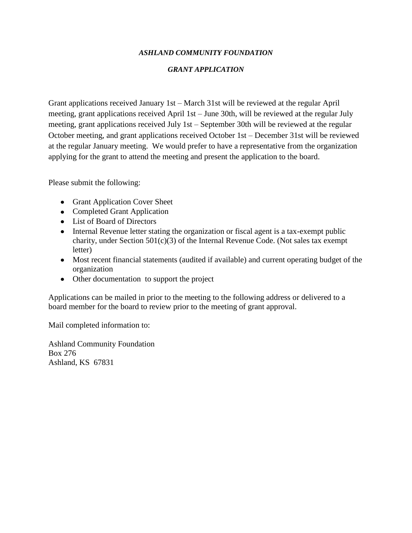## *ASHLAND COMMUNITY FOUNDATION*

## *GRANT APPLICATION*

Grant applications received January 1st – March 31st will be reviewed at the regular April meeting, grant applications received April 1st – June 30th, will be reviewed at the regular July meeting, grant applications received July 1st – September 30th will be reviewed at the regular October meeting, and grant applications received October 1st – December 31st will be reviewed at the regular January meeting. We would prefer to have a representative from the organization applying for the grant to attend the meeting and present the application to the board.

Please submit the following:

- Grant Application Cover Sheet
- Completed Grant Application
- List of Board of Directors
- Internal Revenue letter stating the organization or fiscal agent is a tax-exempt public charity, under Section 501(c)(3) of the Internal Revenue Code. (Not sales tax exempt letter)
- Most recent financial statements (audited if available) and current operating budget of the organization
- Other documentation to support the project

Applications can be mailed in prior to the meeting to the following address or delivered to a board member for the board to review prior to the meeting of grant approval.

Mail completed information to:

Ashland Community Foundation Box 276 Ashland, KS 67831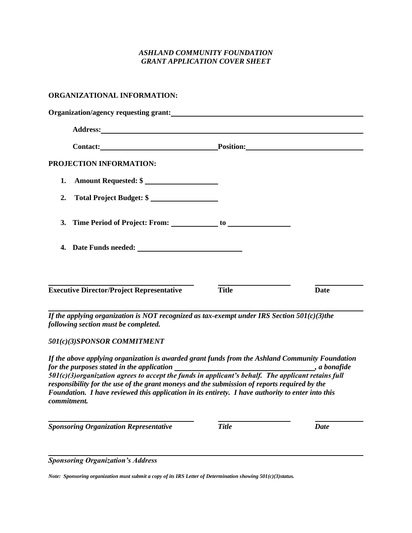### *ASHLAND COMMUNITY FOUNDATION GRANT APPLICATION COVER SHEET*

#### **ORGANIZATIONAL INFORMATION:**

| Contact: Position: Position:                                                                   |  |  |
|------------------------------------------------------------------------------------------------|--|--|
|                                                                                                |  |  |
|                                                                                                |  |  |
|                                                                                                |  |  |
|                                                                                                |  |  |
|                                                                                                |  |  |
|                                                                                                |  |  |
| <b>Date</b>                                                                                    |  |  |
| If the applying organization is NOT recognized as tax-exempt under IRS Section $501(c)(3)$ the |  |  |

*501(c)(3)SPONSOR COMMITMENT*

*If the above applying organization is awarded grant funds from the Ashland Community Foundation for the purposes stated in the application , a bonafide 501(c)(3)organization agrees to accept the funds in applicant's behalf. The applicant retains full responsibility for the use of the grant moneys and the submission of reports required by the Foundation. I have reviewed this application in its entirety. I have authority to enter into this commitment.*

*Sponsoring Organization Representative Title Date*

*Sponsoring Organization's Address*

*Note: Sponsoring organization must submit a copy of its IRS Letter of Determination showing 501(c)(3)status.*